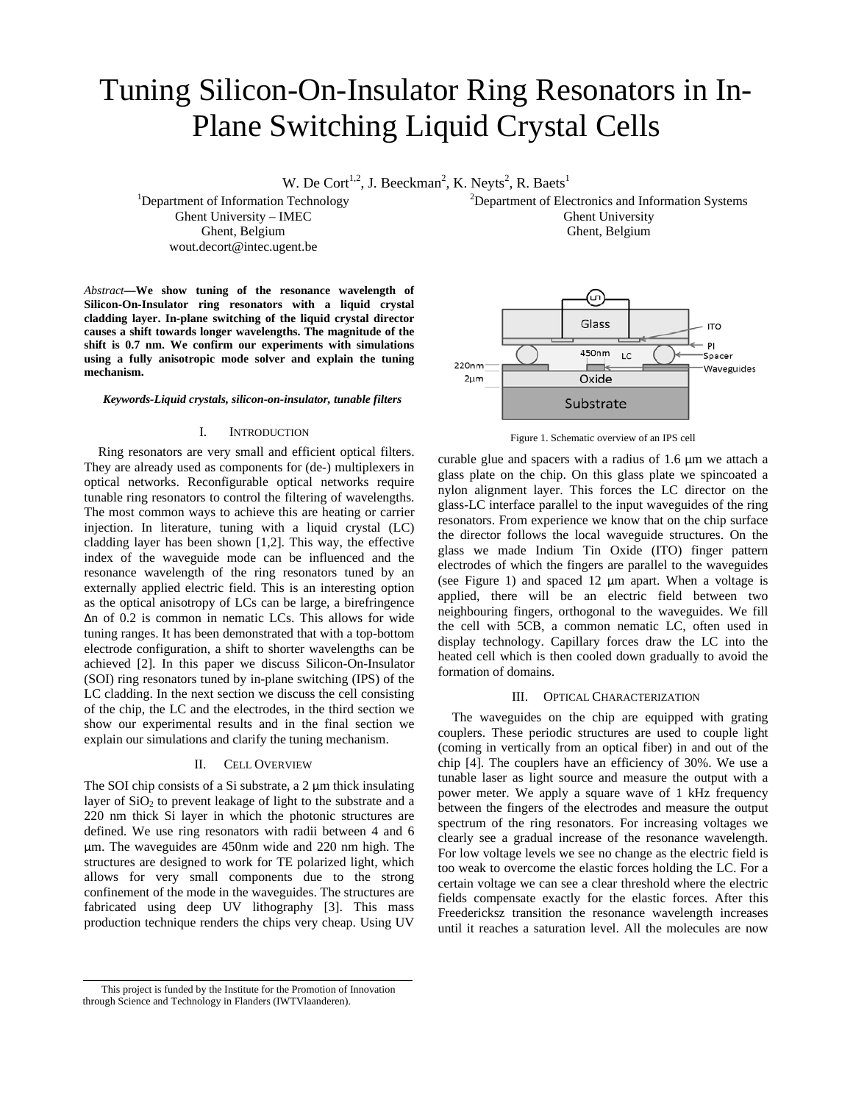# Tuning Silicon-On-Insulator Ring Resonators in In-Plane Switching Liquid Crystal Cells

W. De Cort<sup>1,2</sup>, J. Beeckman<sup>2</sup>, K. Neyts<sup>2</sup>, R. Baets<sup>1</sup>

<sup>1</sup>Department of Information Technology Ghent University – IMEC Ghent, Belgium wout.decort@intec.ugent.be

*Abstract***—We show tuning of the resonance wavelength of Silicon-On-Insulator ring resonators with a liquid crystal cladding layer. In-plane switching of the liquid crystal director causes a shift towards longer wavelengths. The magnitude of the shift is 0.7 nm. We confirm our experiments with simulations using a fully anisotropic mode solver and explain the tuning mechanism.** 

#### *Keywords-Liquid crystals, silicon-on-insulator, tunable filters*

#### I. INTRODUCTION

Ring resonators are very small and efficient optical filters. They are already used as components for (de-) multiplexers in optical networks. Reconfigurable optical networks require tunable ring resonators to control the filtering of wavelengths. The most common ways to achieve this are heating or carrier injection. In literature, tuning with a liquid crystal (LC) cladding layer has been shown [1,2]. This way, the effective index of the waveguide mode can be influenced and the resonance wavelength of the ring resonators tuned by an externally applied electric field. This is an interesting option as the optical anisotropy of LCs can be large, a birefringence Δn of 0.2 is common in nematic LCs. This allows for wide tuning ranges. It has been demonstrated that with a top-bottom electrode configuration, a shift to shorter wavelengths can be achieved [2]. In this paper we discuss Silicon-On-Insulator (SOI) ring resonators tuned by in-plane switching (IPS) of the LC cladding. In the next section we discuss the cell consisting of the chip, the LC and the electrodes, in the third section we show our experimental results and in the final section we explain our simulations and clarify the tuning mechanism.

#### II. CELL OVERVIEW

The SOI chip consists of a Si substrate, a 2  $\mu$ m thick insulating layer of  $SiO<sub>2</sub>$  to prevent leakage of light to the substrate and a 220 nm thick Si layer in which the photonic structures are defined. We use ring resonators with radii between 4 and 6 µm. The waveguides are 450nm wide and 220 nm high. The structures are designed to work for TE polarized light, which allows for very small components due to the strong confinement of the mode in the waveguides. The structures are fabricated using deep UV lithography [3]. This mass production technique renders the chips very cheap. Using UV

<sup>2</sup>Department of Electronics and Information Systems Ghent University Ghent, Belgium



Figure 1. Schematic overview of an IPS cell

curable glue and spacers with a radius of 1.6 µm we attach a glass plate on the chip. On this glass plate we spincoated a nylon alignment layer. This forces the LC director on the glass-LC interface parallel to the input waveguides of the ring resonators. From experience we know that on the chip surface the director follows the local waveguide structures. On the glass we made Indium Tin Oxide (ITO) finger pattern electrodes of which the fingers are parallel to the waveguides (see Figure 1) and spaced 12 µm apart. When a voltage is applied, there will be an electric field between two neighbouring fingers, orthogonal to the waveguides. We fill the cell with 5CB, a common nematic LC, often used in display technology. Capillary forces draw the LC into the heated cell which is then cooled down gradually to avoid the formation of domains.

## III. OPTICAL CHARACTERIZATION

The waveguides on the chip are equipped with grating couplers. These periodic structures are used to couple light (coming in vertically from an optical fiber) in and out of the chip [4]. The couplers have an efficiency of 30%. We use a tunable laser as light source and measure the output with a power meter. We apply a square wave of 1 kHz frequency between the fingers of the electrodes and measure the output spectrum of the ring resonators. For increasing voltages we clearly see a gradual increase of the resonance wavelength. For low voltage levels we see no change as the electric field is too weak to overcome the elastic forces holding the LC. For a certain voltage we can see a clear threshold where the electric fields compensate exactly for the elastic forces. After this Freedericksz transition the resonance wavelength increases until it reaches a saturation level. All the molecules are now

This project is funded by the Institute for the Promotion of Innovation through Science and Technology in Flanders (IWTVlaanderen).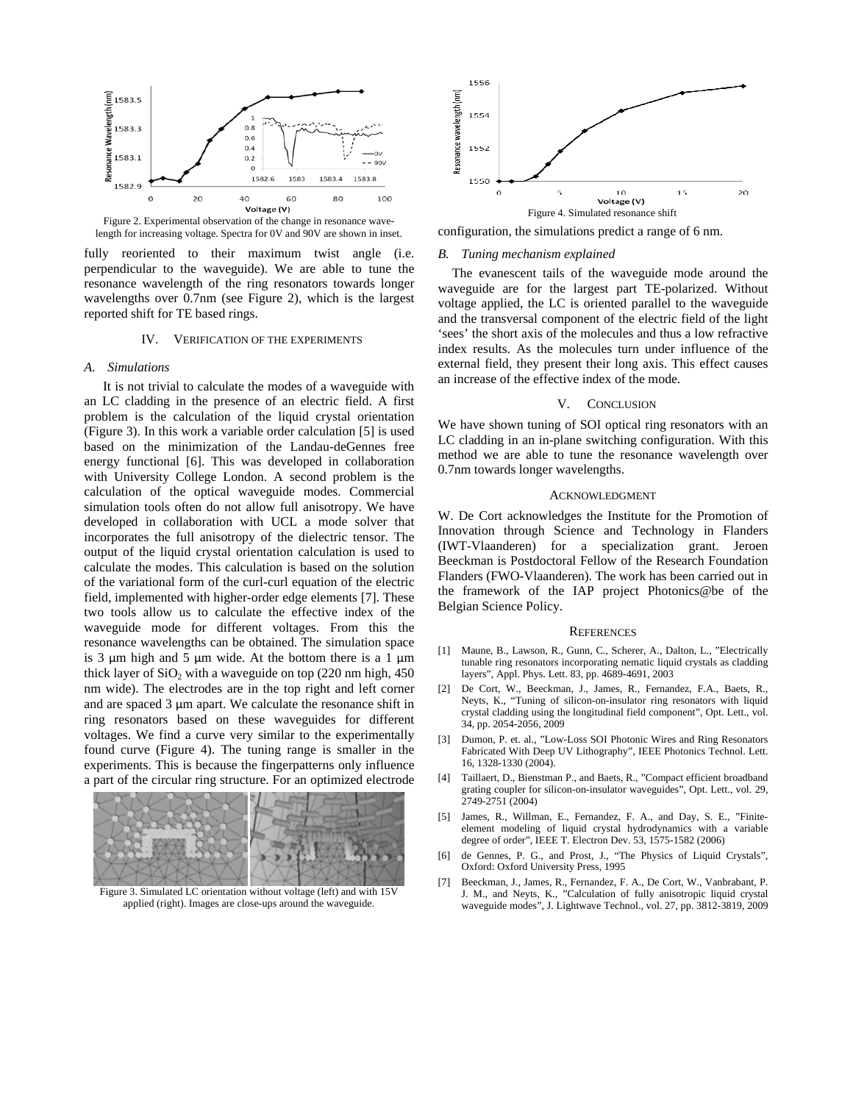

Figure 2. Experimental observation of the change in resonance wavelength for increasing voltage. Spectra for 0V and 90V are shown in inset.

fully reoriented to their maximum twist angle (i.e. perpendicular to the waveguide). We are able to tune the resonance wavelength of the ring resonators towards longer wavelengths over 0.7nm (see Figure 2), which is the largest reported shift for TE based rings.

## IV. VERIFICATION OF THE EXPERIMENTS

## *A. Simulations*

It is not trivial to calculate the modes of a waveguide with an LC cladding in the presence of an electric field. A first problem is the calculation of the liquid crystal orientation (Figure 3). In this work a variable order calculation [5] is used based on the minimization of the Landau-deGennes free energy functional [6]. This was developed in collaboration with University College London. A second problem is the calculation of the optical waveguide modes. Commercial simulation tools often do not allow full anisotropy. We have developed in collaboration with UCL a mode solver that incorporates the full anisotropy of the dielectric tensor. The output of the liquid crystal orientation calculation is used to calculate the modes. This calculation is based on the solution of the variational form of the curl-curl equation of the electric field, implemented with higher-order edge elements [7]. These two tools allow us to calculate the effective index of the waveguide mode for different voltages. From this the resonance wavelengths can be obtained. The simulation space is 3  $\mu$ m high and 5  $\mu$ m wide. At the bottom there is a 1  $\mu$ m thick layer of  $SiO<sub>2</sub>$  with a waveguide on top (220 nm high, 450) nm wide). The electrodes are in the top right and left corner and are spaced 3 µm apart. We calculate the resonance shift in ring resonators based on these waveguides for different voltages. We find a curve very similar to the experimentally found curve (Figure 4). The tuning range is smaller in the experiments. This is because the fingerpatterns only influence a part of the circular ring structure. For an optimized electrode



Figure 3. Simulated LC orientation without voltage (left) and with 15V applied (right). Images are close-ups around the waveguide.



configuration, the simulations predict a range of 6 nm.

## *B. Tuning mechanism explained*

The evanescent tails of the waveguide mode around the waveguide are for the largest part TE-polarized. Without voltage applied, the LC is oriented parallel to the waveguide and the transversal component of the electric field of the light 'sees' the short axis of the molecules and thus a low refractive index results. As the molecules turn under influence of the external field, they present their long axis. This effect causes an increase of the effective index of the mode.

## V. CONCLUSION

We have shown tuning of SOI optical ring resonators with an LC cladding in an in-plane switching configuration. With this method we are able to tune the resonance wavelength over 0.7nm towards longer wavelengths.

#### ACKNOWLEDGMENT

W. De Cort acknowledges the Institute for the Promotion of Innovation through Science and Technology in Flanders (IWT-Vlaanderen) for a specialization grant. Jeroen Beeckman is Postdoctoral Fellow of the Research Foundation Flanders (FWO-Vlaanderen). The work has been carried out in the framework of the IAP project Photonics@be of the Belgian Science Policy.

#### **REFERENCES**

- [1] Maune, B., Lawson, R., Gunn, C., Scherer, A., Dalton, L., "Electrically tunable ring resonators incorporating nematic liquid crystals as cladding layers", Appl. Phys. Lett. 83, pp. 4689-4691, 2003
- [2] De Cort, W., Beeckman, J., James, R., Fernandez, F.A., Baets, R., Neyts, K., "Tuning of silicon-on-insulator ring resonators with liquid crystal cladding using the longitudinal field component", Opt. Lett., vol. 34, pp. 2054-2056, 2009
- [3] Dumon, P. et. al., "Low-Loss SOI Photonic Wires and Ring Resonators" Fabricated With Deep UV Lithography", IEEE Photonics Technol. Lett. 16, 1328-1330 (2004).
- [4] Taillaert, D., Bienstman P., and Baets, R., "Compact efficient broadband grating coupler for silicon-on-insulator waveguides", Opt. Lett., vol. 29, 2749-2751 (2004)
- [5] James, R., Willman, E., Fernandez, F. A., and Day, S. E., "Finiteelement modeling of liquid crystal hydrodynamics with a variable degree of order", IEEE T. Electron Dev. 53, 1575-1582 (2006)
- [6] de Gennes, P. G., and Prost, J., "The Physics of Liquid Crystals", Oxford: Oxford University Press, 1995
- [7] Beeckman, J., James, R., Fernandez, F. A., De Cort, W., Vanbrabant, P. J. M., and Neyts, K., "Calculation of fully anisotropic liquid crystal waveguide modes", J. Lightwave Technol., vol. 27, pp. 3812-3819, 2009